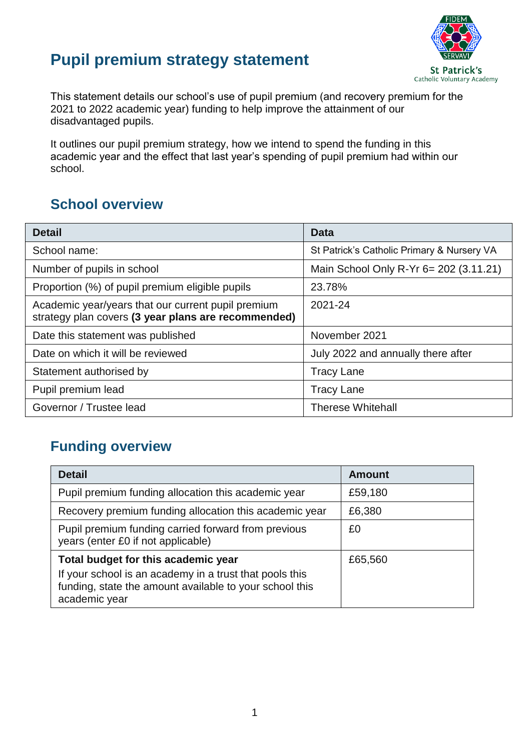## **Pupil premium strategy statement**



This statement details our school's use of pupil premium (and recovery premium for the 2021 to 2022 academic year) funding to help improve the attainment of our disadvantaged pupils.

It outlines our pupil premium strategy, how we intend to spend the funding in this academic year and the effect that last year's spending of pupil premium had within our school.

### **School overview**

| <b>Detail</b>                                                                                             | Data                                       |
|-----------------------------------------------------------------------------------------------------------|--------------------------------------------|
| School name:                                                                                              | St Patrick's Catholic Primary & Nursery VA |
| Number of pupils in school                                                                                | Main School Only R-Yr 6= 202 (3.11.21)     |
| Proportion (%) of pupil premium eligible pupils                                                           | 23.78%                                     |
| Academic year/years that our current pupil premium<br>strategy plan covers (3 year plans are recommended) | 2021-24                                    |
| Date this statement was published                                                                         | November 2021                              |
| Date on which it will be reviewed                                                                         | July 2022 and annually there after         |
| Statement authorised by                                                                                   | <b>Tracy Lane</b>                          |
| Pupil premium lead                                                                                        | <b>Tracy Lane</b>                          |
| Governor / Trustee lead                                                                                   | <b>Therese Whitehall</b>                   |

### **Funding overview**

| <b>Detail</b>                                                                                                                       | <b>Amount</b> |
|-------------------------------------------------------------------------------------------------------------------------------------|---------------|
| Pupil premium funding allocation this academic year                                                                                 | £59,180       |
| Recovery premium funding allocation this academic year                                                                              | £6,380        |
| Pupil premium funding carried forward from previous<br>years (enter £0 if not applicable)                                           | £0            |
| Total budget for this academic year                                                                                                 | £65,560       |
| If your school is an academy in a trust that pools this<br>funding, state the amount available to your school this<br>academic year |               |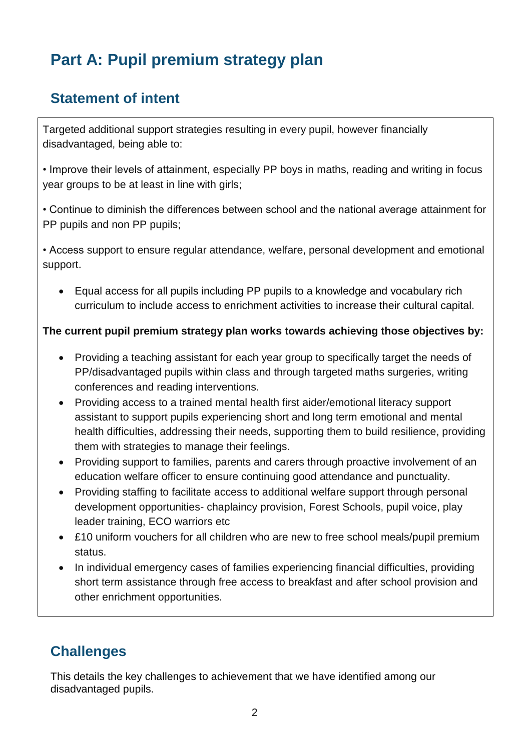## **Part A: Pupil premium strategy plan**

### **Statement of intent**

Targeted additional support strategies resulting in every pupil, however financially disadvantaged, being able to:

• Improve their levels of attainment, especially PP boys in maths, reading and writing in focus year groups to be at least in line with girls;

• Continue to diminish the differences between school and the national average attainment for PP pupils and non PP pupils;

• Access support to ensure regular attendance, welfare, personal development and emotional support.

 Equal access for all pupils including PP pupils to a knowledge and vocabulary rich curriculum to include access to enrichment activities to increase their cultural capital.

#### **The current pupil premium strategy plan works towards achieving those objectives by:**

- Providing a teaching assistant for each year group to specifically target the needs of PP/disadvantaged pupils within class and through targeted maths surgeries, writing conferences and reading interventions.
- Providing access to a trained mental health first aider/emotional literacy support assistant to support pupils experiencing short and long term emotional and mental health difficulties, addressing their needs, supporting them to build resilience, providing them with strategies to manage their feelings.
- Providing support to families, parents and carers through proactive involvement of an education welfare officer to ensure continuing good attendance and punctuality.
- Providing staffing to facilitate access to additional welfare support through personal development opportunities- chaplaincy provision, Forest Schools, pupil voice, play leader training, ECO warriors etc
- £10 uniform vouchers for all children who are new to free school meals/pupil premium status.
- In individual emergency cases of families experiencing financial difficulties, providing short term assistance through free access to breakfast and after school provision and other enrichment opportunities.

### **Challenges**

This details the key challenges to achievement that we have identified among our disadvantaged pupils.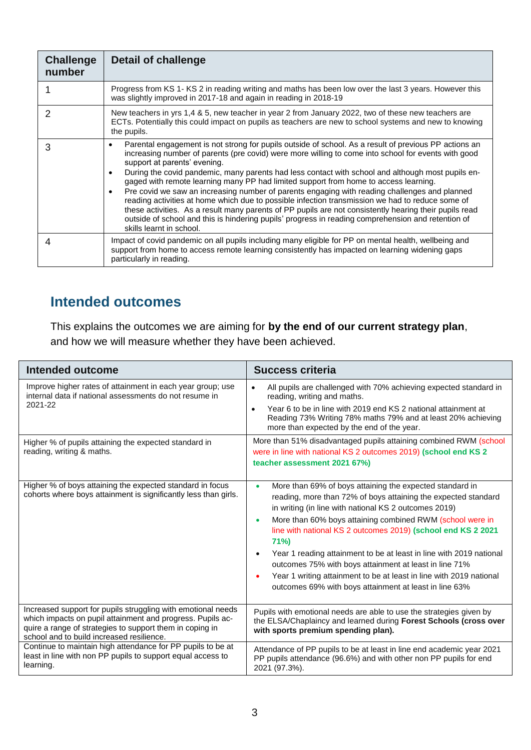| <b>Challenge</b><br>number | Detail of challenge                                                                                                                                                                                                                                                                                                                                                                                                                                                                                                                                                                                                                                                                                                                                                                                                                                                                                                               |
|----------------------------|-----------------------------------------------------------------------------------------------------------------------------------------------------------------------------------------------------------------------------------------------------------------------------------------------------------------------------------------------------------------------------------------------------------------------------------------------------------------------------------------------------------------------------------------------------------------------------------------------------------------------------------------------------------------------------------------------------------------------------------------------------------------------------------------------------------------------------------------------------------------------------------------------------------------------------------|
|                            | Progress from KS 1- KS 2 in reading writing and maths has been low over the last 3 years. However this<br>was slightly improved in 2017-18 and again in reading in 2018-19                                                                                                                                                                                                                                                                                                                                                                                                                                                                                                                                                                                                                                                                                                                                                        |
|                            | New teachers in yrs 1,4 & 5, new teacher in year 2 from January 2022, two of these new teachers are<br>ECTs. Potentially this could impact on pupils as teachers are new to school systems and new to knowing<br>the pupils.                                                                                                                                                                                                                                                                                                                                                                                                                                                                                                                                                                                                                                                                                                      |
| 3                          | Parental engagement is not strong for pupils outside of school. As a result of previous PP actions an<br>$\bullet$<br>increasing number of parents (pre covid) were more willing to come into school for events with good<br>support at parents' evening.<br>During the covid pandemic, many parents had less contact with school and although most pupils en-<br>$\bullet$<br>gaged with remote learning many PP had limited support from home to access learning.<br>Pre covid we saw an increasing number of parents engaging with reading challenges and planned<br>$\bullet$<br>reading activities at home which due to possible infection transmission we had to reduce some of<br>these activities. As a result many parents of PP pupils are not consistently hearing their pupils read<br>outside of school and this is hindering pupils' progress in reading comprehension and retention of<br>skills learnt in school. |
| 4                          | Impact of covid pandemic on all pupils including many eligible for PP on mental health, wellbeing and<br>support from home to access remote learning consistently has impacted on learning widening gaps<br>particularly in reading.                                                                                                                                                                                                                                                                                                                                                                                                                                                                                                                                                                                                                                                                                              |

## **Intended outcomes**

This explains the outcomes we are aiming for **by the end of our current strategy plan**, and how we will measure whether they have been achieved.

| <b>Intended outcome</b>                                                                                                                                                                                                             | <b>Success criteria</b>                                                                                                                                                                                                                                                                                                                                                                                                                                                                                                                                                                                              |
|-------------------------------------------------------------------------------------------------------------------------------------------------------------------------------------------------------------------------------------|----------------------------------------------------------------------------------------------------------------------------------------------------------------------------------------------------------------------------------------------------------------------------------------------------------------------------------------------------------------------------------------------------------------------------------------------------------------------------------------------------------------------------------------------------------------------------------------------------------------------|
| Improve higher rates of attainment in each year group; use<br>internal data if national assessments do not resume in<br>2021-22                                                                                                     | All pupils are challenged with 70% achieving expected standard in<br>$\bullet$<br>reading, writing and maths.<br>Year 6 to be in line with 2019 end KS 2 national attainment at<br>$\bullet$<br>Reading 73% Writing 78% maths 79% and at least 20% achieving<br>more than expected by the end of the year.                                                                                                                                                                                                                                                                                                           |
| Higher % of pupils attaining the expected standard in<br>reading, writing & maths.                                                                                                                                                  | More than 51% disadvantaged pupils attaining combined RWM (school<br>were in line with national KS 2 outcomes 2019) (school end KS 2<br>teacher assessment 2021 67%)                                                                                                                                                                                                                                                                                                                                                                                                                                                 |
| Higher % of boys attaining the expected standard in focus<br>cohorts where boys attainment is significantly less than girls.                                                                                                        | More than 69% of boys attaining the expected standard in<br>$\bullet$<br>reading, more than 72% of boys attaining the expected standard<br>in writing (in line with national KS 2 outcomes 2019)<br>More than 60% boys attaining combined RWM (school were in<br>$\bullet$<br>line with national KS 2 outcomes 2019) (school end KS 2 2021<br>71%)<br>Year 1 reading attainment to be at least in line with 2019 national<br>outcomes 75% with boys attainment at least in line 71%<br>Year 1 writing attainment to be at least in line with 2019 national<br>outcomes 69% with boys attainment at least in line 63% |
| Increased support for pupils struggling with emotional needs<br>which impacts on pupil attainment and progress. Pupils ac-<br>quire a range of strategies to support them in coping in<br>school and to build increased resilience. | Pupils with emotional needs are able to use the strategies given by<br>the ELSA/Chaplaincy and learned during Forest Schools (cross over<br>with sports premium spending plan).                                                                                                                                                                                                                                                                                                                                                                                                                                      |
| Continue to maintain high attendance for PP pupils to be at<br>least in line with non PP pupils to support equal access to<br>learning.                                                                                             | Attendance of PP pupils to be at least in line end academic year 2021<br>PP pupils attendance (96.6%) and with other non PP pupils for end<br>2021 (97.3%).                                                                                                                                                                                                                                                                                                                                                                                                                                                          |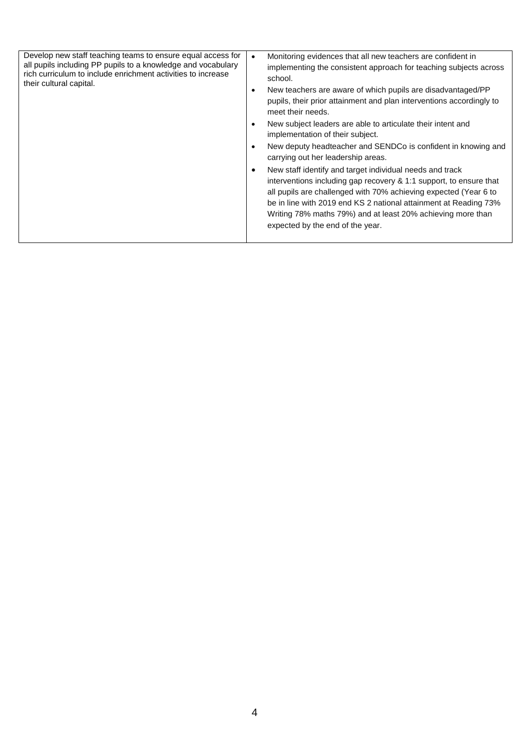| Develop new staff teaching teams to ensure equal access for<br>all pupils including PP pupils to a knowledge and vocabulary<br>rich curriculum to include enrichment activities to increase<br>their cultural capital. | Monitoring evidences that all new teachers are confident in<br>$\bullet$<br>implementing the consistent approach for teaching subjects across<br>school.<br>New teachers are aware of which pupils are disadvantaged/PP<br>$\bullet$<br>pupils, their prior attainment and plan interventions accordingly to<br>meet their needs.<br>New subject leaders are able to articulate their intent and<br>$\bullet$<br>implementation of their subject.<br>New deputy headteacher and SENDCo is confident in knowing and<br>$\bullet$<br>carrying out her leadership areas.<br>New staff identify and target individual needs and track<br>$\bullet$<br>interventions including gap recovery & 1:1 support, to ensure that<br>all pupils are challenged with 70% achieving expected (Year 6 to<br>be in line with 2019 end KS 2 national attainment at Reading 73%<br>Writing 78% maths 79%) and at least 20% achieving more than<br>expected by the end of the year. |  |
|------------------------------------------------------------------------------------------------------------------------------------------------------------------------------------------------------------------------|-----------------------------------------------------------------------------------------------------------------------------------------------------------------------------------------------------------------------------------------------------------------------------------------------------------------------------------------------------------------------------------------------------------------------------------------------------------------------------------------------------------------------------------------------------------------------------------------------------------------------------------------------------------------------------------------------------------------------------------------------------------------------------------------------------------------------------------------------------------------------------------------------------------------------------------------------------------------|--|
|------------------------------------------------------------------------------------------------------------------------------------------------------------------------------------------------------------------------|-----------------------------------------------------------------------------------------------------------------------------------------------------------------------------------------------------------------------------------------------------------------------------------------------------------------------------------------------------------------------------------------------------------------------------------------------------------------------------------------------------------------------------------------------------------------------------------------------------------------------------------------------------------------------------------------------------------------------------------------------------------------------------------------------------------------------------------------------------------------------------------------------------------------------------------------------------------------|--|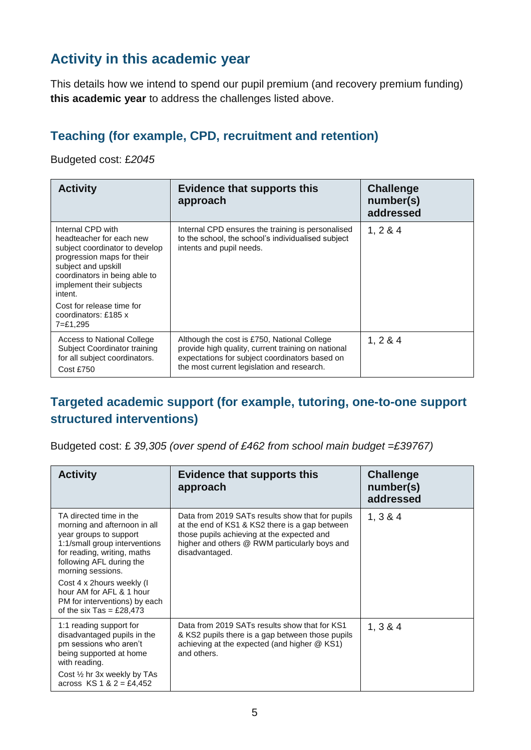### **Activity in this academic year**

This details how we intend to spend our pupil premium (and recovery premium funding) **this academic year** to address the challenges listed above.

#### **Teaching (for example, CPD, recruitment and retention)**

Budgeted cost: £*2045*

| <b>Activity</b>                                                                                                                                                                                              | <b>Evidence that supports this</b><br>approach                                                                                                                                                    | <b>Challenge</b><br>number(s)<br>addressed |
|--------------------------------------------------------------------------------------------------------------------------------------------------------------------------------------------------------------|---------------------------------------------------------------------------------------------------------------------------------------------------------------------------------------------------|--------------------------------------------|
| Internal CPD with<br>headteacher for each new<br>subject coordinator to develop<br>progression maps for their<br>subject and upskill<br>coordinators in being able to<br>implement their subjects<br>intent. | Internal CPD ensures the training is personalised<br>to the school, the school's individualised subject<br>intents and pupil needs.                                                               | 1, 284                                     |
| Cost for release time for<br>coordinators: £185 x<br>7=£1,295                                                                                                                                                |                                                                                                                                                                                                   |                                            |
| Access to National College<br>Subject Coordinator training<br>for all subject coordinators.<br>Cost £750                                                                                                     | Although the cost is £750, National College<br>provide high quality, current training on national<br>expectations for subject coordinators based on<br>the most current legislation and research. | 1, 284                                     |

#### **Targeted academic support (for example, tutoring, one-to-one support structured interventions)**

Budgeted cost: £ *39,305 (over spend of £462 from school main budget =£39767)*

| <b>Activity</b>                                                                                                                                                                                                                                                                                                          | <b>Evidence that supports this</b><br>approach                                                                                                                                                                      | <b>Challenge</b><br>number(s)<br>addressed |
|--------------------------------------------------------------------------------------------------------------------------------------------------------------------------------------------------------------------------------------------------------------------------------------------------------------------------|---------------------------------------------------------------------------------------------------------------------------------------------------------------------------------------------------------------------|--------------------------------------------|
| TA directed time in the<br>morning and afternoon in all<br>year groups to support<br>1:1/small group interventions<br>for reading, writing, maths<br>following AFL during the<br>morning sessions.<br>Cost 4 x 2hours weekly (I<br>hour AM for AFL & 1 hour<br>PM for interventions) by each<br>of the six Tas = £28,473 | Data from 2019 SATs results show that for pupils<br>at the end of KS1 & KS2 there is a gap between<br>those pupils achieving at the expected and<br>higher and others @ RWM particularly boys and<br>disadvantaged. | 1, 3 & 4                                   |
| 1:1 reading support for<br>disadvantaged pupils in the<br>pm sessions who aren't<br>being supported at home<br>with reading.<br>Cost 1/2 hr 3x weekly by TAs<br>across $KS$ 1 & 2 = £4,452                                                                                                                               | Data from 2019 SATs results show that for KS1<br>& KS2 pupils there is a gap between those pupils<br>achieving at the expected (and higher @ KS1)<br>and others.                                                    | 1, 3 & 4                                   |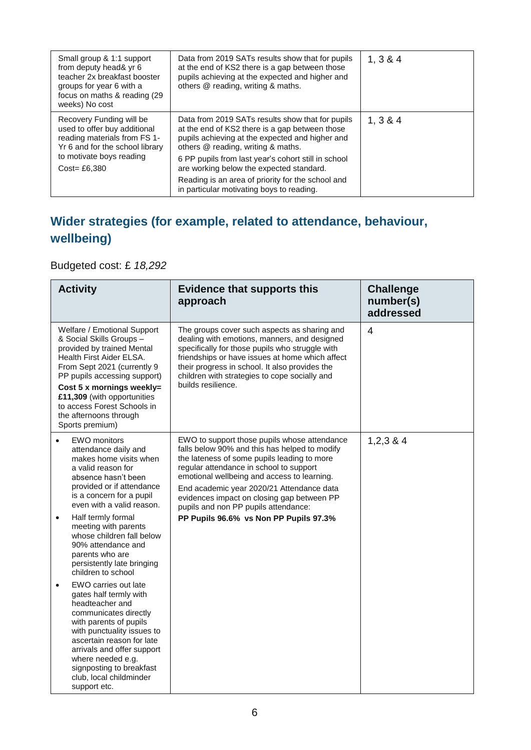| Small group & 1:1 support<br>from deputy head& yr 6<br>teacher 2x breakfast booster<br>groups for year 6 with a<br>focus on maths & reading (29)<br>weeks) No cost         | Data from 2019 SATs results show that for pupils<br>at the end of KS2 there is a gap between those<br>pupils achieving at the expected and higher and<br>others @ reading, writing & maths.                                                                                                                                                                                                      | 1, 3 & 4 |
|----------------------------------------------------------------------------------------------------------------------------------------------------------------------------|--------------------------------------------------------------------------------------------------------------------------------------------------------------------------------------------------------------------------------------------------------------------------------------------------------------------------------------------------------------------------------------------------|----------|
| Recovery Funding will be<br>used to offer buy additional<br>reading materials from FS 1-<br>Yr 6 and for the school library<br>to motivate boys reading<br>$Cost = £6,380$ | Data from 2019 SATs results show that for pupils<br>at the end of KS2 there is a gap between those<br>pupils achieving at the expected and higher and<br>others @ reading, writing & maths.<br>6 PP pupils from last year's cohort still in school<br>are working below the expected standard.<br>Reading is an area of priority for the school and<br>in particular motivating boys to reading. | 1, 3 & 4 |

### **Wider strategies (for example, related to attendance, behaviour, wellbeing)**

#### Budgeted cost: £ *18,292*

| <b>Activity</b>                                                                                                                                                                                                                                                                                                          | <b>Evidence that supports this</b><br>approach                                                                                                                                                                                                                                                                                                                            | <b>Challenge</b><br>number(s)<br>addressed |
|--------------------------------------------------------------------------------------------------------------------------------------------------------------------------------------------------------------------------------------------------------------------------------------------------------------------------|---------------------------------------------------------------------------------------------------------------------------------------------------------------------------------------------------------------------------------------------------------------------------------------------------------------------------------------------------------------------------|--------------------------------------------|
| Welfare / Emotional Support<br>& Social Skills Groups -<br>provided by trained Mental<br>Health First Aider ELSA.<br>From Sept 2021 (currently 9<br>PP pupils accessing support)<br>Cost 5 x mornings weekly=<br>£11,309 (with opportunities<br>to access Forest Schools in<br>the afternoons through<br>Sports premium) | The groups cover such aspects as sharing and<br>dealing with emotions, manners, and designed<br>specifically for those pupils who struggle with<br>friendships or have issues at home which affect<br>their progress in school. It also provides the<br>children with strategies to cope socially and<br>builds resilience.                                               | $\overline{4}$                             |
| <b>EWO</b> monitors<br>$\bullet$<br>attendance daily and<br>makes home visits when<br>a valid reason for<br>absence hasn't been<br>provided or if attendance<br>is a concern for a pupil<br>even with a valid reason.                                                                                                    | EWO to support those pupils whose attendance<br>falls below 90% and this has helped to modify<br>the lateness of some pupils leading to more<br>regular attendance in school to support<br>emotional wellbeing and access to learning.<br>End academic year 2020/21 Attendance data<br>evidences impact on closing gap between PP<br>pupils and non PP pupils attendance: | 1,2,3,8,4                                  |
| Half termly formal<br>$\bullet$<br>meeting with parents<br>whose children fall below<br>90% attendance and<br>parents who are<br>persistently late bringing<br>children to school                                                                                                                                        | PP Pupils 96.6% vs Non PP Pupils 97.3%                                                                                                                                                                                                                                                                                                                                    |                                            |
| EWO carries out late<br>$\bullet$<br>gates half termly with<br>headteacher and<br>communicates directly<br>with parents of pupils<br>with punctuality issues to<br>ascertain reason for late<br>arrivals and offer support<br>where needed e.g.<br>signposting to breakfast<br>club, local childminder<br>support etc.   |                                                                                                                                                                                                                                                                                                                                                                           |                                            |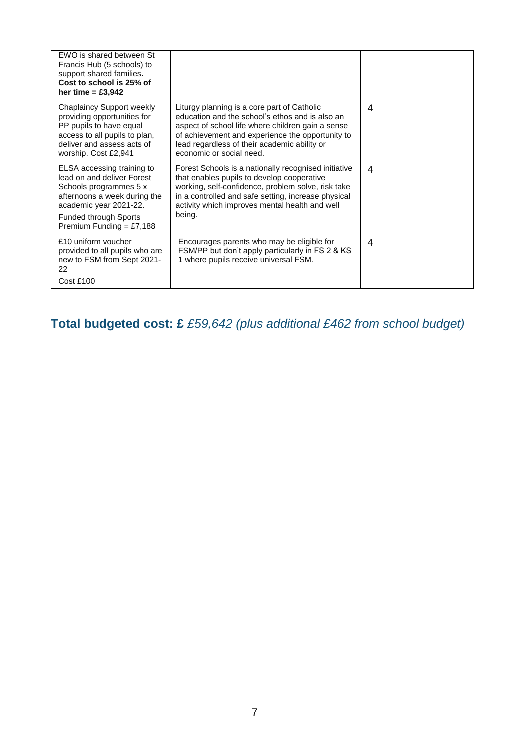| EWO is shared between St<br>Francis Hub (5 schools) to<br>support shared families.<br>Cost to school is 25% of<br>her time $=$ £3,942                                                                      |                                                                                                                                                                                                                                                                                     |   |
|------------------------------------------------------------------------------------------------------------------------------------------------------------------------------------------------------------|-------------------------------------------------------------------------------------------------------------------------------------------------------------------------------------------------------------------------------------------------------------------------------------|---|
| Chaplaincy Support weekly<br>providing opportunities for<br>PP pupils to have equal<br>access to all pupils to plan,<br>deliver and assess acts of<br>worship. Cost £2,941                                 | Liturgy planning is a core part of Catholic<br>education and the school's ethos and is also an<br>aspect of school life where children gain a sense<br>of achievement and experience the opportunity to<br>lead regardless of their academic ability or<br>economic or social need. | 4 |
| ELSA accessing training to<br>lead on and deliver Forest<br>Schools programmes 5 x<br>afternoons a week during the<br>academic year 2021-22.<br><b>Funded through Sports</b><br>Premium Funding = $£7,188$ | Forest Schools is a nationally recognised initiative<br>that enables pupils to develop cooperative<br>working, self-confidence, problem solve, risk take<br>in a controlled and safe setting, increase physical<br>activity which improves mental health and well<br>being.         | 4 |
| £10 uniform voucher<br>provided to all pupils who are<br>new to FSM from Sept 2021-<br>22<br>Cost £100                                                                                                     | Encourages parents who may be eligible for<br>FSM/PP but don't apply particularly in FS 2 & KS<br>1 where pupils receive universal FSM.                                                                                                                                             | 4 |

#### **Total budgeted cost: £** *£59,642 (plus additional £462 from school budget)*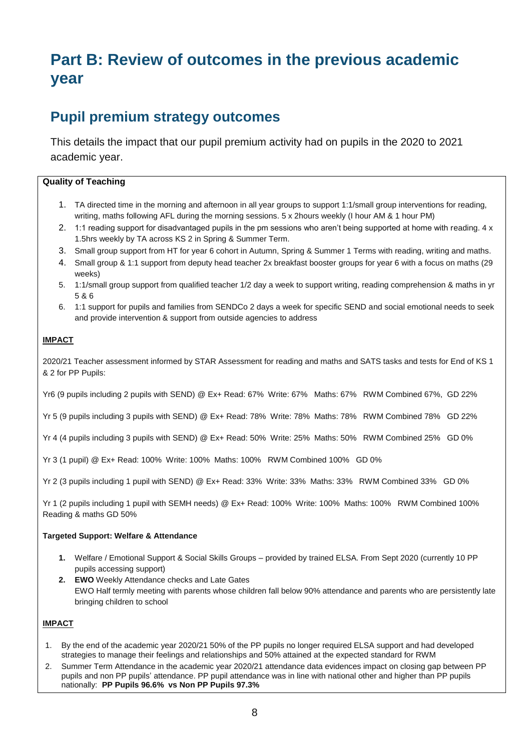## **Part B: Review of outcomes in the previous academic year**

#### **Pupil premium strategy outcomes**

This details the impact that our pupil premium activity had on pupils in the 2020 to 2021 academic year.

#### **Quality of Teaching**

- 1. TA directed time in the morning and afternoon in all year groups to support 1:1/small group interventions for reading, writing, maths following AFL during the morning sessions. 5 x 2hours weekly (I hour AM & 1 hour PM)
- 2. 1:1 reading support for disadvantaged pupils in the pm sessions who aren't being supported at home with reading. 4 x 1.5hrs weekly by TA across KS 2 in Spring & Summer Term.
- 3. Small group support from HT for year 6 cohort in Autumn, Spring & Summer 1 Terms with reading, writing and maths.
- 4. Small group & 1:1 support from deputy head teacher 2x breakfast booster groups for year 6 with a focus on maths (29 weeks)
- 5. 1:1/small group support from qualified teacher 1/2 day a week to support writing, reading comprehension & maths in yr 5 & 6
- 6. 1:1 support for pupils and families from SENDCo 2 days a week for specific SEND and social emotional needs to seek and provide intervention & support from outside agencies to address

#### **IMPACT**

2020/21 Teacher assessment informed by STAR Assessment for reading and maths and SATS tasks and tests for End of KS 1 & 2 for PP Pupils:

Yr6 (9 pupils including 2 pupils with SEND) @ Ex+ Read: 67% Write: 67% Maths: 67% RWM Combined 67%, GD 22%

Yr 5 (9 pupils including 3 pupils with SEND) @ Ex+ Read: 78% Write: 78% Maths: 78% RWM Combined 78% GD 22%

Yr 4 (4 pupils including 3 pupils with SEND) @ Ex+ Read: 50% Write: 25% Maths: 50% RWM Combined 25% GD 0%

Yr 3 (1 pupil) @ Ex+ Read: 100% Write: 100% Maths: 100% RWM Combined 100% GD 0%

Yr 2 (3 pupils including 1 pupil with SEND) @ Ex+ Read: 33% Write: 33% Maths: 33% RWM Combined 33% GD 0%

Yr 1 (2 pupils including 1 pupil with SEMH needs) @ Ex+ Read: 100% Write: 100% Maths: 100% RWM Combined 100% Reading & maths GD 50%

#### **Targeted Support: Welfare & Attendance**

- **1.** Welfare / Emotional Support & Social Skills Groups provided by trained ELSA. From Sept 2020 (currently 10 PP pupils accessing support)
- **2. EWO** Weekly Attendance checks and Late Gates EWO Half termly meeting with parents whose children fall below 90% attendance and parents who are persistently late bringing children to school

#### **IMPACT**

- 1. By the end of the academic year 2020/21 50% of the PP pupils no longer required ELSA support and had developed strategies to manage their feelings and relationships and 50% attained at the expected standard for RWM
- 2. Summer Term Attendance in the academic year 2020/21 attendance data evidences impact on closing gap between PP pupils and non PP pupils' attendance. PP pupil attendance was in line with national other and higher than PP pupils nationally: **PP Pupils 96.6% vs Non PP Pupils 97.3%**